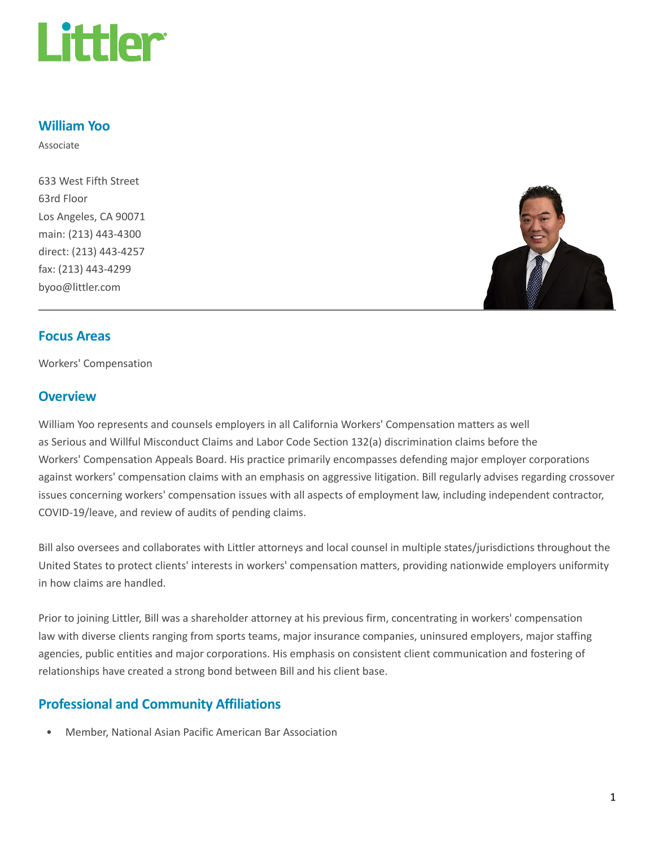

#### William Yoo

Associate

633 West Fifth Street 63rd Floor Los Angeles, CA 90071 main: (213) 443-4300 direct: (213) 443-4257 fax: (213) 443-4299 byoo@littler.com



#### Focus Areas

Workers' Compensation

#### **Overview**

William Yoo represents and counsels employers in all California Workers' Compensation matters as well as Serious and Willful Misconduct Claims and Labor Code Section 132(a) discrimination claims before the Workers' Compensation Appeals Board. His practice primarily encompasses defending major employer corporations against workers' compensation claims with an emphasis on aggressive litigation. Bill regularly advises regarding crossover issues concerning workers' compensation issues with all aspects of employment law, including independent contractor, COVID-19/leave, and review of audits of pending claims.

Bill also oversees and collaborates with Littler attorneys and local counsel in multiple states/jurisdictions throughout the United States to protect clients' interests in workers' compensation matters, providing nationwide employers uniformity in how claims are handled.

Prior to joining Littler, Bill was a shareholder attorney at his previous firm, concentrating in workers' compensation law with diverse clients ranging from sports teams, major insurance companies, uninsured employers, major staffing agencies, public entities and major corporations. His emphasis on consistent client communication and fostering of relationships have created a strong bond between Bill and his client base.

## Professional and Community Affiliations

• Member, National Asian Pacific American Bar Association